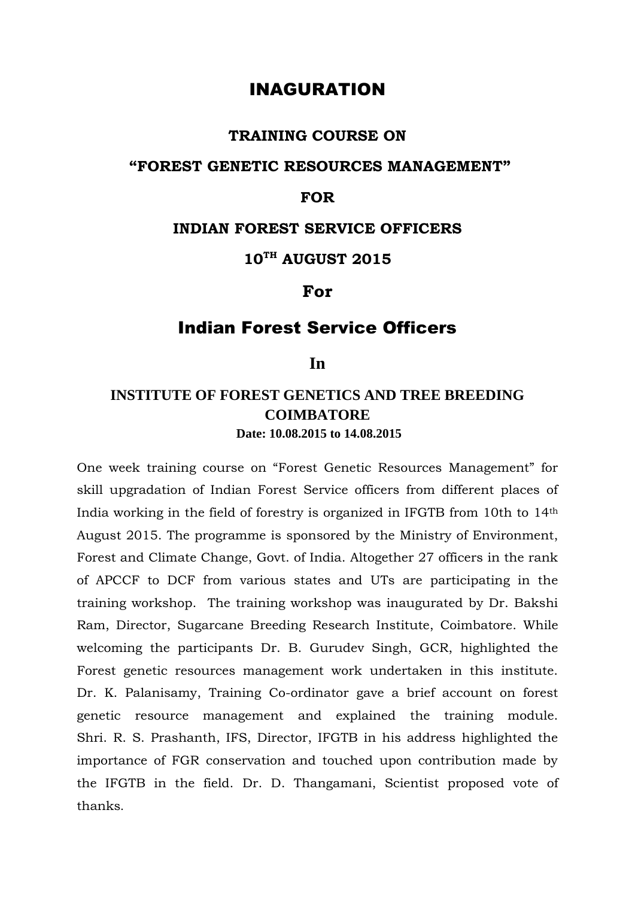# INAGURATION

#### **TRAINING COURSE ON**

### **"FOREST GENETIC RESOURCES MANAGEMENT"**

### **FOR**

#### **INDIAN FOREST SERVICE OFFICERS**

# **10TH AUGUST 2015**

#### **For**

## Indian Forest Service Officers

#### **In**

## **INSTITUTE OF FOREST GENETICS AND TREE BREEDING COIMBATORE Date: 10.08.2015 to 14.08.2015**

One week training course on "Forest Genetic Resources Management" for skill upgradation of Indian Forest Service officers from different places of India working in the field of forestry is organized in IFGTB from 10th to 14th August 2015. The programme is sponsored by the Ministry of Environment, Forest and Climate Change, Govt. of India. Altogether 27 officers in the rank of APCCF to DCF from various states and UTs are participating in the training workshop. The training workshop was inaugurated by Dr. Bakshi Ram, Director, Sugarcane Breeding Research Institute, Coimbatore. While welcoming the participants Dr. B. Gurudev Singh, GCR, highlighted the Forest genetic resources management work undertaken in this institute. Dr. K. Palanisamy, Training Co-ordinator gave a brief account on forest genetic resource management and explained the training module. Shri. R. S. Prashanth, IFS, Director, IFGTB in his address highlighted the importance of FGR conservation and touched upon contribution made by the IFGTB in the field. Dr. D. Thangamani, Scientist proposed vote of thanks.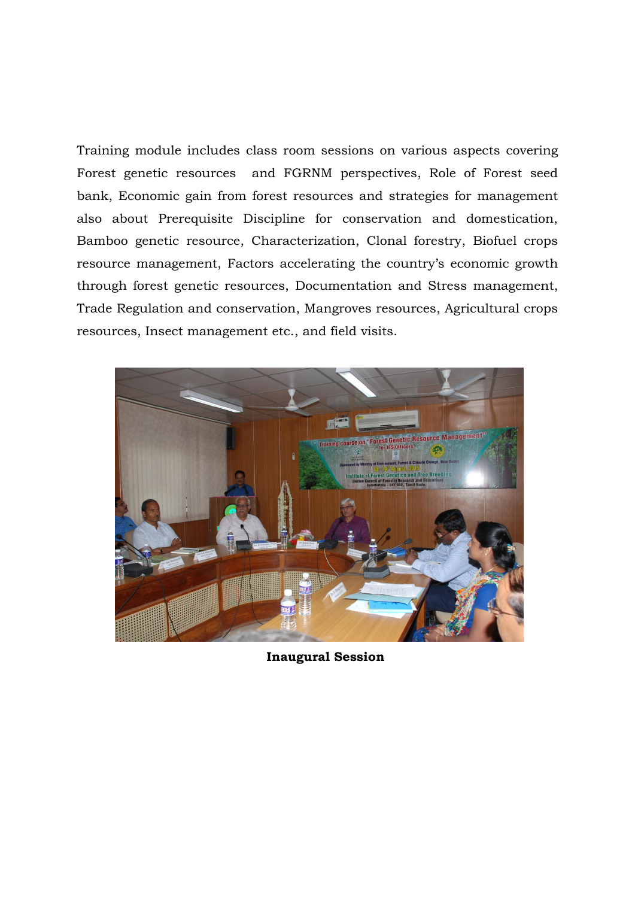Training module includes class room sessions on various aspects covering Forest genetic resources and FGRNM perspectives, Role of Forest seed bank, Economic gain from forest resources and strategies for management also about Prerequisite Discipline for conservation and domestication, Bamboo genetic resource, Characterization, Clonal forestry, Biofuel crops resource management, Factors accelerating the country's economic growth through forest genetic resources, Documentation and Stress management, Trade Regulation and conservation, Mangroves resources, Agricultural crops resources, Insect management etc., and field visits.



**Inaugural Session**